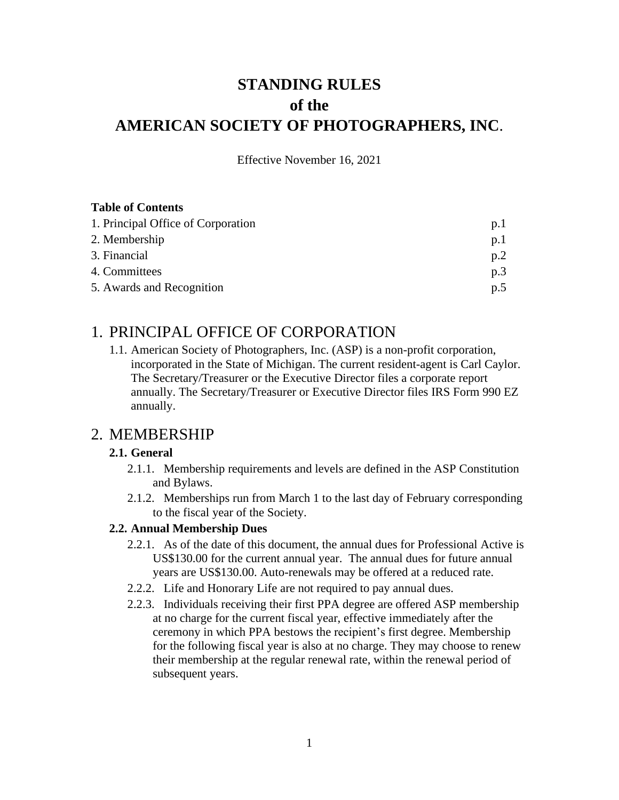# **STANDING RULES of the AMERICAN SOCIETY OF PHOTOGRAPHERS, INC**.

Effective November 16, 2021

#### **Table of Contents**

| 1. Principal Office of Corporation | p.1 |
|------------------------------------|-----|
| 2. Membership                      | p.1 |
| 3. Financial                       | p.2 |
| 4. Committees                      | p.3 |
| 5. Awards and Recognition          | p.5 |

## 1. PRINCIPAL OFFICE OF CORPORATION

1.1. American Society of Photographers, Inc. (ASP) is a non-profit corporation, incorporated in the State of Michigan. The current resident-agent is Carl Caylor. The Secretary/Treasurer or the Executive Director files a corporate report annually. The Secretary/Treasurer or Executive Director files IRS Form 990 EZ annually.

## 2. MEMBERSHIP

### **2.1. General**

- 2.1.1. Membership requirements and levels are defined in the ASP Constitution and Bylaws.
- 2.1.2. Memberships run from March 1 to the last day of February corresponding to the fiscal year of the Society.

### **2.2. Annual Membership Dues**

- 2.2.1. As of the date of this document, the annual dues for Professional Active is US\$130.00 for the current annual year. The annual dues for future annual years are US\$130.00. Auto-renewals may be offered at a reduced rate.
- 2.2.2. Life and Honorary Life are not required to pay annual dues.
- 2.2.3. Individuals receiving their first PPA degree are offered ASP membership at no charge for the current fiscal year, effective immediately after the ceremony in which PPA bestows the recipient's first degree. Membership for the following fiscal year is also at no charge. They may choose to renew their membership at the regular renewal rate, within the renewal period of subsequent years.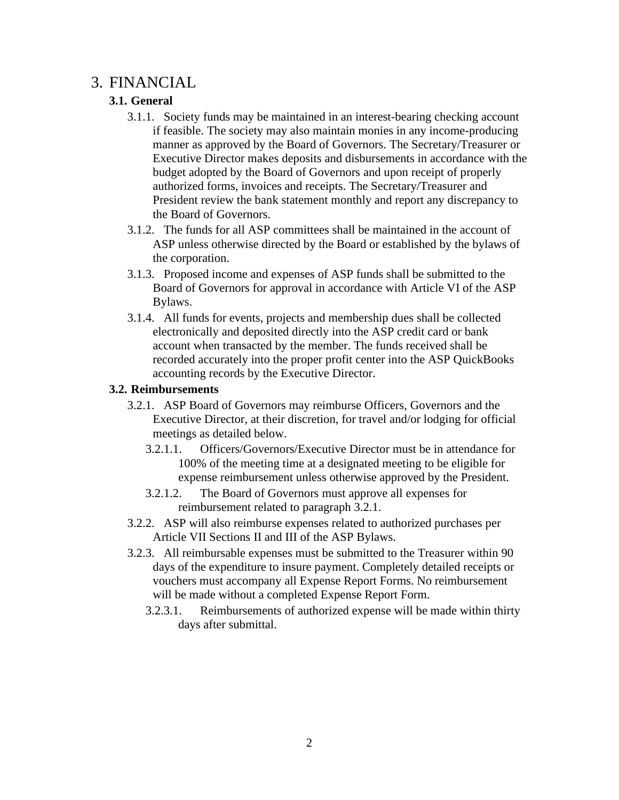## 3. FINANCIAL

## **3.1. General**

- 3.1.1. Society funds may be maintained in an interest-bearing checking account if feasible. The society may also maintain monies in any income-producing manner as approved by the Board of Governors. The Secretary/Treasurer or Executive Director makes deposits and disbursements in accordance with the budget adopted by the Board of Governors and upon receipt of properly authorized forms, invoices and receipts. The Secretary/Treasurer and President review the bank statement monthly and report any discrepancy to the Board of Governors.
- 3.1.2. The funds for all ASP committees shall be maintained in the account of ASP unless otherwise directed by the Board or established by the bylaws of the corporation.
- 3.1.3. Proposed income and expenses of ASP funds shall be submitted to the Board of Governors for approval in accordance with Article VI of the ASP Bylaws.
- 3.1.4. All funds for events, projects and membership dues shall be collected electronically and deposited directly into the ASP credit card or bank account when transacted by the member. The funds received shall be recorded accurately into the proper profit center into the ASP QuickBooks accounting records by the Executive Director.

#### **3.2. Reimbursements**

- 3.2.1. ASP Board of Governors may reimburse Officers, Governors and the Executive Director, at their discretion, for travel and/or lodging for official meetings as detailed below.
	- 3.2.1.1. Officers/Governors/Executive Director must be in attendance for 100% of the meeting time at a designated meeting to be eligible for expense reimbursement unless otherwise approved by the President.
	- 3.2.1.2. The Board of Governors must approve all expenses for reimbursement related to paragraph 3.2.1.
- 3.2.2. ASP will also reimburse expenses related to authorized purchases per Article VII Sections II and III of the ASP Bylaws.
- 3.2.3. All reimbursable expenses must be submitted to the Treasurer within 90 days of the expenditure to insure payment. Completely detailed receipts or vouchers must accompany all Expense Report Forms. No reimbursement will be made without a completed Expense Report Form.
	- 3.2.3.1. Reimbursements of authorized expense will be made within thirty days after submittal.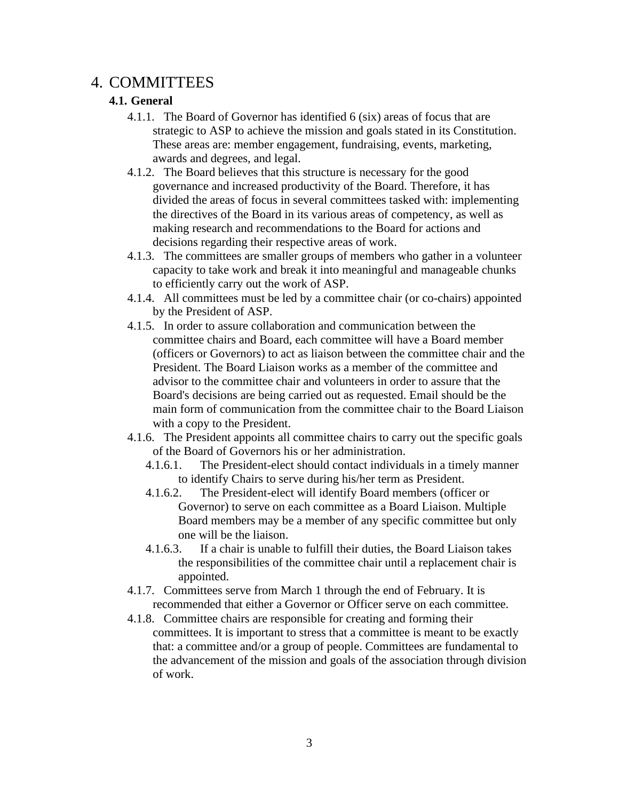## 4. COMMITTEES

## **4.1. General**

- 4.1.1. The Board of Governor has identified 6 (six) areas of focus that are strategic to ASP to achieve the mission and goals stated in its Constitution. These areas are: member engagement, fundraising, events, marketing, awards and degrees, and legal.
- 4.1.2. The Board believes that this structure is necessary for the good governance and increased productivity of the Board. Therefore, it has divided the areas of focus in several committees tasked with: implementing the directives of the Board in its various areas of competency, as well as making research and recommendations to the Board for actions and decisions regarding their respective areas of work.
- 4.1.3. The committees are smaller groups of members who gather in a volunteer capacity to take work and break it into meaningful and manageable chunks to efficiently carry out the work of ASP.
- 4.1.4. All committees must be led by a committee chair (or co-chairs) appointed by the President of ASP.
- 4.1.5. In order to assure collaboration and communication between the committee chairs and Board, each committee will have a Board member (officers or Governors) to act as liaison between the committee chair and the President. The Board Liaison works as a member of the committee and advisor to the committee chair and volunteers in order to assure that the Board's decisions are being carried out as requested. Email should be the main form of communication from the committee chair to the Board Liaison with a copy to the President.
- 4.1.6. The President appoints all committee chairs to carry out the specific goals of the Board of Governors his or her administration.
	- 4.1.6.1. The President-elect should contact individuals in a timely manner to identify Chairs to serve during his/her term as President.
	- 4.1.6.2. The President-elect will identify Board members (officer or Governor) to serve on each committee as a Board Liaison. Multiple Board members may be a member of any specific committee but only one will be the liaison.
	- 4.1.6.3. If a chair is unable to fulfill their duties, the Board Liaison takes the responsibilities of the committee chair until a replacement chair is appointed.
- 4.1.7. Committees serve from March 1 through the end of February. It is recommended that either a Governor or Officer serve on each committee.
- 4.1.8. Committee chairs are responsible for creating and forming their committees. It is important to stress that a committee is meant to be exactly that: a committee and/or a group of people. Committees are fundamental to the advancement of the mission and goals of the association through division of work.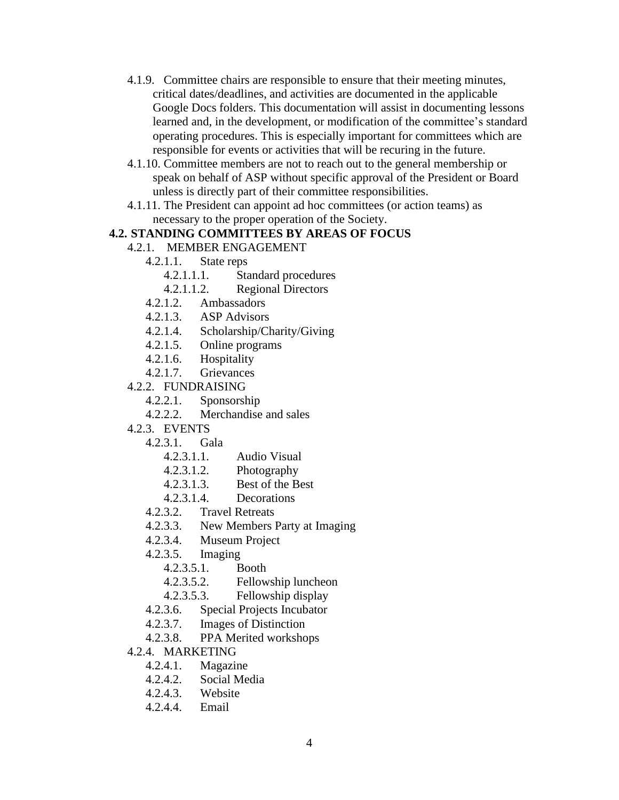- 4.1.9. Committee chairs are responsible to ensure that their meeting minutes, critical dates/deadlines, and activities are documented in the applicable Google Docs folders. This documentation will assist in documenting lessons learned and, in the development, or modification of the committee's standard operating procedures. This is especially important for committees which are responsible for events or activities that will be recuring in the future.
- 4.1.10. Committee members are not to reach out to the general membership or speak on behalf of ASP without specific approval of the President or Board unless is directly part of their committee responsibilities.
- 4.1.11. The President can appoint ad hoc committees (or action teams) as necessary to the proper operation of the Society.

#### **4.2. STANDING COMMITTEES BY AREAS OF FOCUS**

- 4.2.1. MEMBER ENGAGEMENT
	- 4.2.1.1. State reps
		- 4.2.1.1.1. Standard procedures
		- 4.2.1.1.2. Regional Directors
	- 4.2.1.2. Ambassadors
	- 4.2.1.3. ASP Advisors
	- 4.2.1.4. Scholarship/Charity/Giving
	- 4.2.1.5. Online programs
	- 4.2.1.6. Hospitality
	- 4.2.1.7. Grievances
- 4.2.2. FUNDRAISING
	- 4.2.2.1. Sponsorship
	- 4.2.2.2. Merchandise and sales
- 4.2.3. EVENTS
	- 4.2.3.1. Gala
		- 4.2.3.1.1. Audio Visual
		- 4.2.3.1.2. Photography
		- 4.2.3.1.3. Best of the Best
		- 4.2.3.1.4. Decorations
	- 4.2.3.2. Travel Retreats
	- 4.2.3.3. New Members Party at Imaging
	- 4.2.3.4. Museum Project
	- 4.2.3.5. Imaging
		- 4.2.3.5.1. Booth
		- 4.2.3.5.2. Fellowship luncheon
		- 4.2.3.5.3. Fellowship display
	- 4.2.3.6. Special Projects Incubator
	- 4.2.3.7. Images of Distinction
	- 4.2.3.8. PPA Merited workshops
- 4.2.4. MARKETING
	- 4.2.4.1. Magazine
	- 4.2.4.2. Social Media
	- 4.2.4.3. Website
	- 4.2.4.4. Email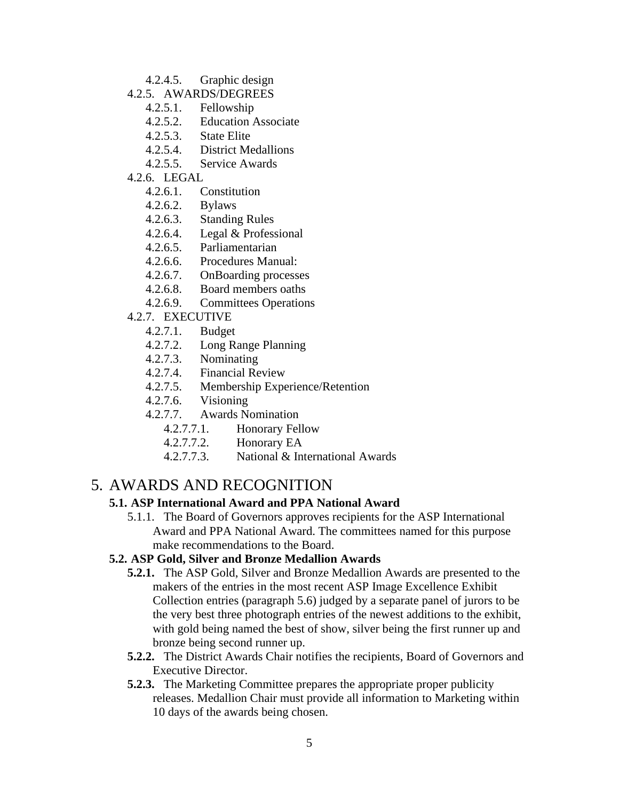- 4.2.4.5. Graphic design
- 4.2.5. AWARDS/DEGREES
	- 4.2.5.1. Fellowship
	- 4.2.5.2. Education Associate
	- 4.2.5.3. State Elite
	- 4.2.5.4. District Medallions
	- 4.2.5.5. Service Awards
- 4.2.6. LEGAL
	- 4.2.6.1. Constitution
	- 4.2.6.2. Bylaws
	- 4.2.6.3. Standing Rules
	- 4.2.6.4. Legal & Professional
	- 4.2.6.5. Parliamentarian
	- 4.2.6.6. Procedures Manual:
	- 4.2.6.7. OnBoarding processes
	- 4.2.6.8. Board members oaths
	- 4.2.6.9. Committees Operations
- 4.2.7. EXECUTIVE
	- 4.2.7.1. Budget
	- 4.2.7.2. Long Range Planning
	- 4.2.7.3. Nominating
	- 4.2.7.4. Financial Review
	- 4.2.7.5. Membership Experience/Retention
	- 4.2.7.6. Visioning
	- 4.2.7.7. Awards Nomination
		- 4.2.7.7.1. Honorary Fellow
		- 4.2.7.7.2. Honorary EA
		- 4.2.7.7.3. National & International Awards

## 5. AWARDS AND RECOGNITION

### **5.1. ASP International Award and PPA National Award**

5.1.1. The Board of Governors approves recipients for the ASP International Award and PPA National Award. The committees named for this purpose make recommendations to the Board.

#### **5.2. ASP Gold, Silver and Bronze Medallion Awards**

- **5.2.1.** The ASP Gold, Silver and Bronze Medallion Awards are presented to the makers of the entries in the most recent ASP Image Excellence Exhibit Collection entries (paragraph 5.6) judged by a separate panel of jurors to be the very best three photograph entries of the newest additions to the exhibit, with gold being named the best of show, silver being the first runner up and bronze being second runner up.
- **5.2.2.** The District Awards Chair notifies the recipients, Board of Governors and Executive Director.
- **5.2.3.** The Marketing Committee prepares the appropriate proper publicity releases. Medallion Chair must provide all information to Marketing within 10 days of the awards being chosen.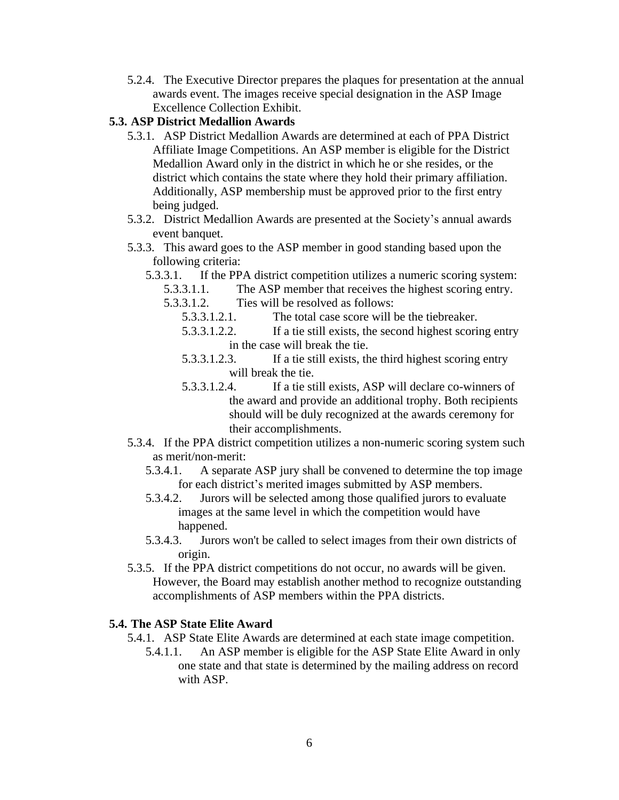5.2.4. The Executive Director prepares the plaques for presentation at the annual awards event. The images receive special designation in the ASP Image Excellence Collection Exhibit.

#### **5.3. ASP District Medallion Awards**

- 5.3.1. ASP District Medallion Awards are determined at each of PPA District Affiliate Image Competitions. An ASP member is eligible for the District Medallion Award only in the district in which he or she resides, or the district which contains the state where they hold their primary affiliation. Additionally, ASP membership must be approved prior to the first entry being judged.
- 5.3.2. District Medallion Awards are presented at the Society's annual awards event banquet.
- 5.3.3. This award goes to the ASP member in good standing based upon the following criteria:
	- 5.3.3.1. If the PPA district competition utilizes a numeric scoring system:
		- 5.3.3.1.1. The ASP member that receives the highest scoring entry.
		- 5.3.3.1.2. Ties will be resolved as follows:
			- 5.3.3.1.2.1. The total case score will be the tiebreaker.
			- 5.3.3.1.2.2. If a tie still exists, the second highest scoring entry in the case will break the tie.
			- 5.3.3.1.2.3. If a tie still exists, the third highest scoring entry will break the tie.
			- 5.3.3.1.2.4. If a tie still exists, ASP will declare co-winners of the award and provide an additional trophy. Both recipients should will be duly recognized at the awards ceremony for their accomplishments.
- 5.3.4. If the PPA district competition utilizes a non-numeric scoring system such as merit/non-merit:
	- 5.3.4.1. A separate ASP jury shall be convened to determine the top image for each district's merited images submitted by ASP members.
	- 5.3.4.2. Jurors will be selected among those qualified jurors to evaluate images at the same level in which the competition would have happened.
	- 5.3.4.3. Jurors won't be called to select images from their own districts of origin.
- 5.3.5. If the PPA district competitions do not occur, no awards will be given. However, the Board may establish another method to recognize outstanding accomplishments of ASP members within the PPA districts.

#### **5.4. The ASP State Elite Award**

- 5.4.1. ASP State Elite Awards are determined at each state image competition.
	- 5.4.1.1. An ASP member is eligible for the ASP State Elite Award in only one state and that state is determined by the mailing address on record with ASP.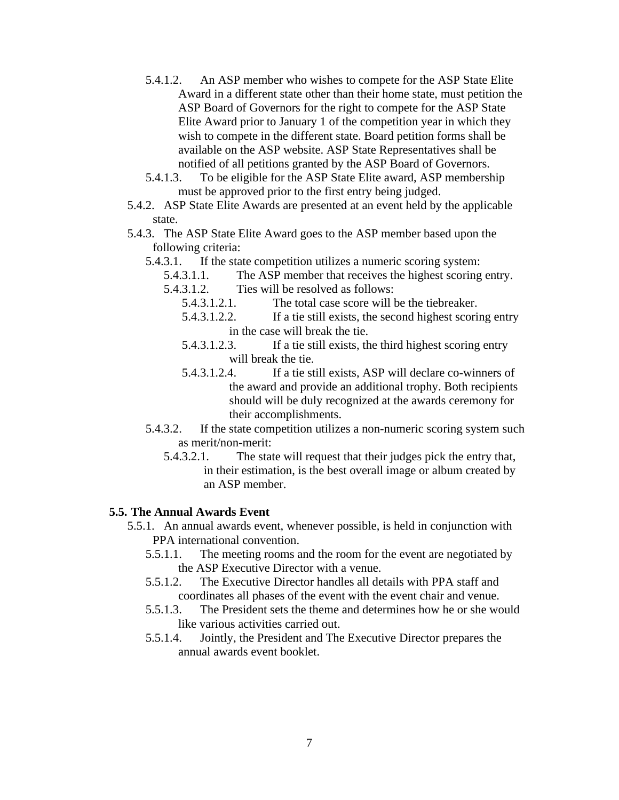- 5.4.1.2. An ASP member who wishes to compete for the ASP State Elite Award in a different state other than their home state, must petition the ASP Board of Governors for the right to compete for the ASP State Elite Award prior to January 1 of the competition year in which they wish to compete in the different state. Board petition forms shall be available on the ASP website. ASP State Representatives shall be notified of all petitions granted by the ASP Board of Governors.
- 5.4.1.3. To be eligible for the ASP State Elite award, ASP membership must be approved prior to the first entry being judged.
- 5.4.2. ASP State Elite Awards are presented at an event held by the applicable state.
- 5.4.3. The ASP State Elite Award goes to the ASP member based upon the following criteria:
	- 5.4.3.1. If the state competition utilizes a numeric scoring system:
		- 5.4.3.1.1. The ASP member that receives the highest scoring entry.
		- 5.4.3.1.2. Ties will be resolved as follows:
			- 5.4.3.1.2.1. The total case score will be the tiebreaker.
			- 5.4.3.1.2.2. If a tie still exists, the second highest scoring entry in the case will break the tie.
			- 5.4.3.1.2.3. If a tie still exists, the third highest scoring entry will break the tie.
			- 5.4.3.1.2.4. If a tie still exists, ASP will declare co-winners of the award and provide an additional trophy. Both recipients should will be duly recognized at the awards ceremony for their accomplishments.
	- 5.4.3.2. If the state competition utilizes a non-numeric scoring system such as merit/non-merit:
		- 5.4.3.2.1. The state will request that their judges pick the entry that, in their estimation, is the best overall image or album created by an ASP member.

#### **5.5. The Annual Awards Event**

- 5.5.1. An annual awards event, whenever possible, is held in conjunction with PPA international convention.
	- 5.5.1.1. The meeting rooms and the room for the event are negotiated by the ASP Executive Director with a venue.
	- 5.5.1.2. The Executive Director handles all details with PPA staff and coordinates all phases of the event with the event chair and venue.
	- 5.5.1.3. The President sets the theme and determines how he or she would like various activities carried out.
	- 5.5.1.4. Jointly, the President and The Executive Director prepares the annual awards event booklet.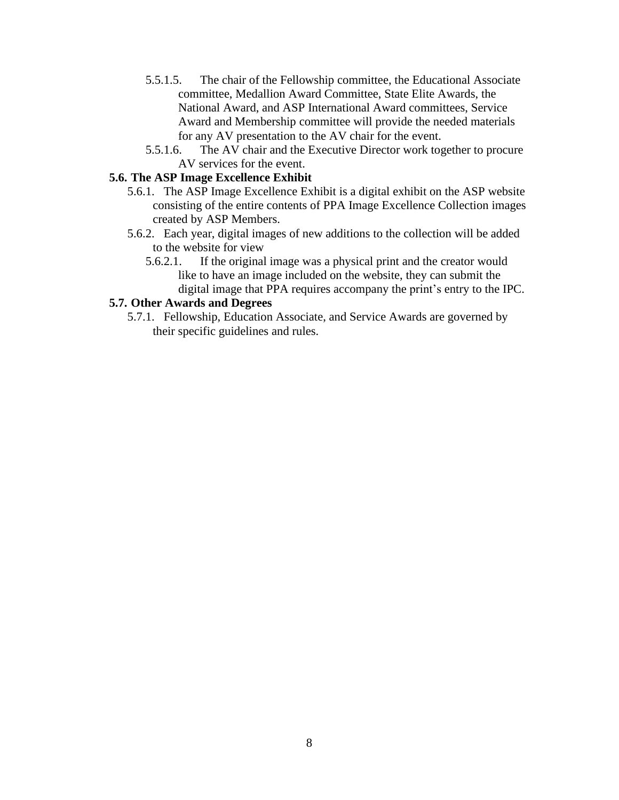- 5.5.1.5. The chair of the Fellowship committee, the Educational Associate committee, Medallion Award Committee, State Elite Awards, the National Award, and ASP International Award committees, Service Award and Membership committee will provide the needed materials for any AV presentation to the AV chair for the event.
- 5.5.1.6. The AV chair and the Executive Director work together to procure AV services for the event.

#### **5.6. The ASP Image Excellence Exhibit**

- 5.6.1. The ASP Image Excellence Exhibit is a digital exhibit on the ASP website consisting of the entire contents of PPA Image Excellence Collection images created by ASP Members.
- 5.6.2. Each year, digital images of new additions to the collection will be added to the website for view
	- 5.6.2.1. If the original image was a physical print and the creator would like to have an image included on the website, they can submit the digital image that PPA requires accompany the print's entry to the IPC.

### **5.7. Other Awards and Degrees**

5.7.1. Fellowship, Education Associate, and Service Awards are governed by their specific guidelines and rules.